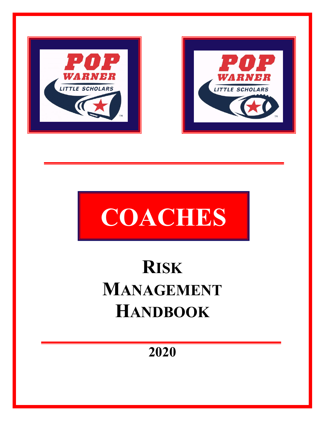





# **RISK MANAGEMENT HANDBOOK**

**2020**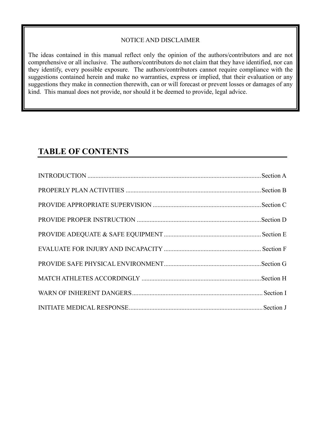#### NOTICE AND DISCLAIMER

The ideas contained in this manual reflect only the opinion of the authors/contributors and are not comprehensive or all inclusive. The authors/contributors do not claim that they have identified, nor can they identify, every possible exposure. The authors/contributors cannot require compliance with the suggestions contained herein and make no warranties, express or implied, that their evaluation or any suggestions they make in connection therewith, can or will forecast or prevent losses or damages of any kind. This manual does not provide, nor should it be deemed to provide, legal advice.

# **TABLE OF CONTENTS**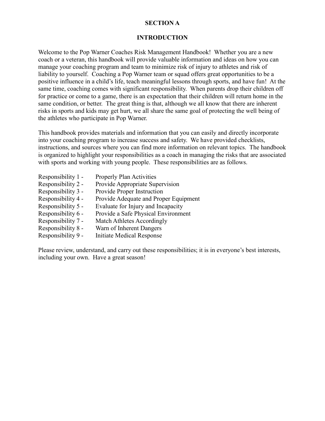#### **SECTION A**

#### **INTRODUCTION**

Welcome to the Pop Warner Coaches Risk Management Handbook! Whether you are a new coach or a veteran, this handbook will provide valuable information and ideas on how you can manage your coaching program and team to minimize risk of injury to athletes and risk of liability to yourself. Coaching a Pop Warner team or squad offers great opportunities to be a positive influence in a child's life, teach meaningful lessons through sports, and have fun! At the same time, coaching comes with significant responsibility. When parents drop their children off for practice or come to a game, there is an expectation that their children will return home in the same condition, or better. The great thing is that, although we all know that there are inherent risks in sports and kids may get hurt, we all share the same goal of protecting the well being of the athletes who participate in Pop Warner.

This handbook provides materials and information that you can easily and directly incorporate into your coaching program to increase success and safety. We have provided checklists, instructions, and sources where you can find more information on relevant topics. The handbook is organized to highlight your responsibilities as a coach in managing the risks that are associated with sports and working with young people. These responsibilities are as follows.

- Responsibility 1 Properly Plan Activities Responsibility 2 - Provide Appropriate Supervision Responsibility 3 - Provide Proper Instruction Responsibility 4 - Provide Adequate and Proper Equipment Responsibility 5 - Evaluate for Injury and Incapacity Responsibility 6 - Provide a Safe Physical Environment
- Responsibility 7 Match Athletes Accordingly
- Responsibility 8 Warn of Inherent Dangers
- Responsibility 9 Initiate Medical Response

Please review, understand, and carry out these responsibilities; it is in everyone's best interests, including your own. Have a great season!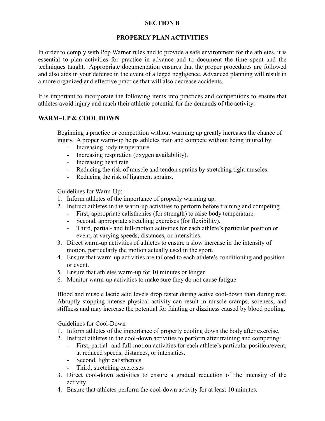#### **SECTION B**

#### **PROPERLY PLAN ACTIVITIES**

In order to comply with Pop Warner rules and to provide a safe environment for the athletes, it is essential to plan activities for practice in advance and to document the time spent and the techniques taught. Appropriate documentation ensures that the proper procedures are followed and also aids in your defense in the event of alleged negligence. Advanced planning will result in a more organized and effective practice that will also decrease accidents.

It is important to incorporate the following items into practices and competitions to ensure that athletes avoid injury and reach their athletic potential for the demands of the activity:

#### **WARM–UP & COOL DOWN**

Beginning a practice or competition without warming up greatly increases the chance of injury. A proper warm-up helps athletes train and compete without being injured by:

- Increasing body temperature.
- Increasing respiration (oxygen availability).
- Increasing heart rate.
- Reducing the risk of muscle and tendon sprains by stretching tight muscles.
- Reducing the risk of ligament sprains.

Guidelines for Warm-Up:

- 1. Inform athletes of the importance of properly warming up.
- 2. Instruct athletes in the warm-up activities to perform before training and competing.
	- First, appropriate calisthenics (for strength) to raise body temperature.
	- Second, appropriate stretching exercises (for flexibility).
	- Third, partial- and full-motion activities for each athlete's particular position or event, at varying speeds, distances, or intensities.
- 3. Direct warm-up activities of athletes to ensure a slow increase in the intensity of motion, particularly the motion actually used in the sport.
- 4. Ensure that warm-up activities are tailored to each athlete's conditioning and position or event.
- 5. Ensure that athletes warm-up for 10 minutes or longer.
- 6. Monitor warm-up activities to make sure they do not cause fatigue.

Blood and muscle lactic acid levels drop faster during active cool-down than during rest. Abruptly stopping intense physical activity can result in muscle cramps, soreness, and stiffness and may increase the potential for fainting or dizziness caused by blood pooling.

Guidelines for Cool-Down –

- 1. Inform athletes of the importance of properly cooling down the body after exercise.
- 2. Instruct athletes in the cool-down activities to perform after training and competing:
	- First, partial- and full-motion activities for each athlete's particular position/event, at reduced speeds, distances, or intensities.
	- Second, light calisthenics
	- Third, stretching exercises
- 3. Direct cool-down activities to ensure a gradual reduction of the intensity of the activity.
- 4. Ensure that athletes perform the cool-down activity for at least 10 minutes.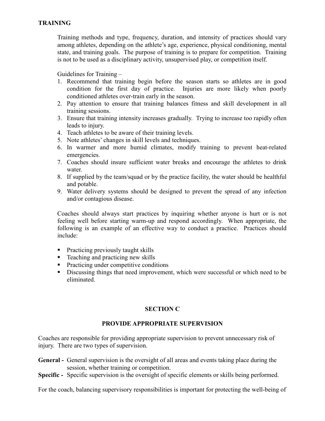Training methods and type, frequency, duration, and intensity of practices should vary among athletes, depending on the athlete's age, experience, physical conditioning, mental state, and training goals. The purpose of training is to prepare for competition. Training is not to be used as a disciplinary activity, unsupervised play, or competition itself.

Guidelines for Training –

- 1. Recommend that training begin before the season starts so athletes are in good condition for the first day of practice. Injuries are more likely when poorly conditioned athletes over-train early in the season.
- 2. Pay attention to ensure that training balances fitness and skill development in all training sessions.
- 3. Ensure that training intensity increases gradually. Trying to increase too rapidly often leads to injury.
- 4. Teach athletes to be aware of their training levels.
- 5. Note athletes' changes in skill levels and techniques.
- 6. In warmer and more humid climates, modify training to prevent heat-related emergencies.
- 7. Coaches should insure sufficient water breaks and encourage the athletes to drink water.
- 8. If supplied by the team/squad or by the practice facility, the water should be healthful and potable.
- 9. Water delivery systems should be designed to prevent the spread of any infection and/or contagious disease.

Coaches should always start practices by inquiring whether anyone is hurt or is not feeling well before starting warm-up and respond accordingly. When appropriate, the following is an example of an effective way to conduct a practice. Practices should include:

- **Practicing previously taught skills**
- $\blacksquare$  Teaching and practicing new skills
- **Practicing under competitive conditions**
- Discussing things that need improvement, which were successful or which need to be eliminated.

# **SECTION C**

#### **PROVIDE APPROPRIATE SUPERVISION**

Coaches are responsible for providing appropriate supervision to prevent unnecessary risk of injury. There are two types of supervision.

- **General -** General supervision is the oversight of all areas and events taking place during the session, whether training or competition.
- **Specific -** Specific supervision is the oversight of specific elements or skills being performed.

For the coach, balancing supervisory responsibilities is important for protecting the well-being of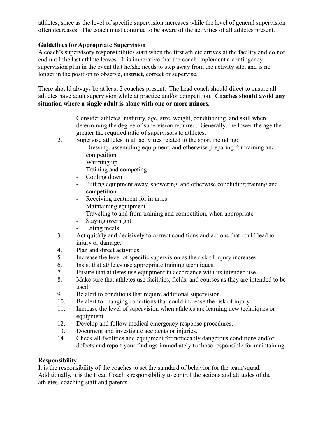athletes, since as the level of specific supervision increases while the level of general supervision often decreases. The coach must continue to be aware of the activities of all athletes present.

# **Guidelines for Appropriate Supervision**

A coach's supervisory responsibilities start when the first athlete arrives at the facility and do not end until the last athlete leaves. It is imperative that the coach implement a contingency supervision plan in the event that he/she needs to step away from the activity site, and is no longer in the position to observe, instruct, correct or supervise.

There should always be at least 2 coaches present. The head coach should direct to ensure all athletes have adult supervision while at practice and/or competition. **Coaches should avoid any situation where a single adult is alone with one or more minors.** 

- 1. Consider athletes' maturity, age, size, weight, conditioning, and skill when determining the degree of supervision required. Generally, the lower the age the greater the required ratio of supervisors to athletes.
- 2. Supervise athletes in all activities related to the sport including:
	- Dressing, assembling equipment, and otherwise preparing for training and competition
	- Warming up
	- Training and competing
	- Cooling down
	- Putting equipment away, showering, and otherwise concluding training and competition
	- Receiving treatment for injuries
	- Maintaining equipment
	- Traveling to and from training and competition, when appropriate
	- Staying overnight
	- Eating meals
- 3. Act quickly and decisively to correct conditions and actions that could lead to injury or damage.
- 4. Plan and direct activities.
- 5. Increase the level of specific supervision as the risk of injury increases.
- 6. Insist that athletes use appropriate training techniques.
- 7. Ensure that athletes use equipment in accordance with its intended use.
- 8. Make sure that athletes use facilities, fields, and courses as they are intended to be used.
- 9. Be alert to conditions that require additional supervision.
- 10. Be alert to changing conditions that could increase the risk of injury.
- 11. Increase the level of supervision when athletes are learning new techniques or equipment.
- 12. Develop and follow medical emergency response procedures.
- 13. Document and investigate accidents or injuries.
- 14. Check all facilities and equipment for noticeably dangerous conditions and/or defects and report your findings immediately to those responsible for maintaining.

#### **Responsibility**

It is the responsibility of the coaches to set the standard of behavior for the team/squad. Additionally, it is the Head Coach's responsibility to control the actions and attitudes of the athletes, coaching staff and parents.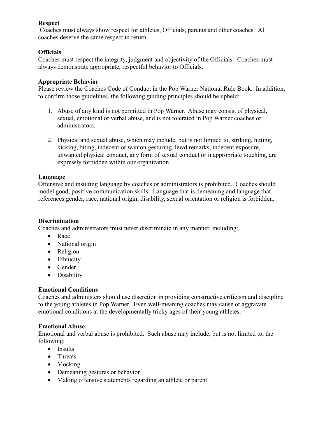#### **Respect**

Coaches must always show respect for athletes, Officials, parents and other coaches. All coaches deserve the same respect in return.

#### **Officials**

Coaches must respect the integrity, judgment and objectivity of the Officials. Coaches must always demonstrate appropriate, respectful behavior to Officials.

#### **Appropriate Behavior**

Please review the Coaches Code of Conduct in the Pop Warner National Rule Book. In addition, to confirm those guidelines, the following guiding principles should be upheld:

- 1. Abuse of any kind is not permitted in Pop Warner. Abuse may consist of physical, sexual, emotional or verbal abuse, and is not tolerated in Pop Warner coaches or administrators.
- 2. Physical and sexual abuse, which may include, but is not limited to, striking, hitting, kicking, biting, indecent or wanton gesturing, lewd remarks, indecent exposure, unwanted physical conduct, any form of sexual conduct or inappropriate touching, are expressly forbidden within our organization.

#### **Language**

Offensive and insulting language by coaches or administrators is prohibited. Coaches should model good, positive communication skills. Language that is demeaning and language that references gender, race, national origin, disability, sexual orientation or religion is forbidden.

#### **Discrimination**

Coaches and administrators must never discriminate in any manner, including:

- Race
- National origin
- Religion
- Ethnicity
- Gender
- Disability

#### **Emotional Conditions**

Coaches and administers should use discretion in providing constructive criticism and discipline to the young athletes in Pop Warner. Even well-meaning coaches may cause or aggravate emotional conditions at the developmentally tricky ages of their young athletes.

#### **Emotional Abuse**

Emotional and verbal abuse is prohibited. Such abuse may include, but is not limited to, the following:

- Insults
- Threats
- Mocking
- Demeaning gestures or behavior
- Making offensive statements regarding an athlete or parent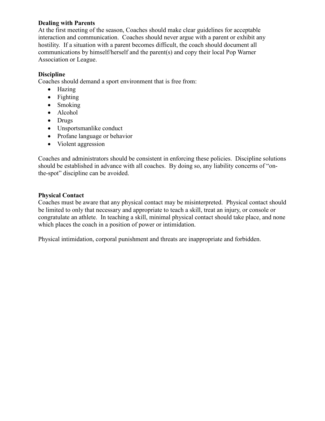#### **Dealing with Parents**

At the first meeting of the season, Coaches should make clear guidelines for acceptable interaction and communication. Coaches should never argue with a parent or exhibit any hostility. If a situation with a parent becomes difficult, the coach should document all communications by himself/herself and the parent(s) and copy their local Pop Warner Association or League.

# **Discipline**

Coaches should demand a sport environment that is free from:

- Hazing
- Fighting
- Smoking
- Alcohol
- Drugs
- Unsportsmanlike conduct
- Profane language or behavior
- Violent aggression

Coaches and administrators should be consistent in enforcing these policies. Discipline solutions should be established in advance with all coaches. By doing so, any liability concerns of "onthe-spot" discipline can be avoided.

# **Physical Contact**

Coaches must be aware that any physical contact may be misinterpreted. Physical contact should be limited to only that necessary and appropriate to teach a skill, treat an injury, or console or congratulate an athlete. In teaching a skill, minimal physical contact should take place, and none which places the coach in a position of power or intimidation.

Physical intimidation, corporal punishment and threats are inappropriate and forbidden.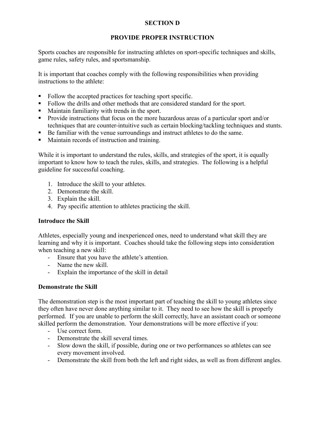# **SECTION D**

# **PROVIDE PROPER INSTRUCTION**

Sports coaches are responsible for instructing athletes on sport-specific techniques and skills, game rules, safety rules, and sportsmanship.

It is important that coaches comply with the following responsibilities when providing instructions to the athlete:

- Follow the accepted practices for teaching sport specific.
- Follow the drills and other methods that are considered standard for the sport.
- Maintain familiarity with trends in the sport.
- **Provide instructions that focus on the more hazardous areas of a particular sport and/or** techniques that are counter-intuitive such as certain blocking/tackling techniques and stunts.
- Be familiar with the venue surroundings and instruct athletes to do the same.
- **Maintain records of instruction and training.**

While it is important to understand the rules, skills, and strategies of the sport, it is equally important to know how to teach the rules, skills, and strategies. The following is a helpful guideline for successful coaching.

- 1. Introduce the skill to your athletes.
- 2. Demonstrate the skill.
- 3. Explain the skill.
- 4. Pay specific attention to athletes practicing the skill.

#### **Introduce the Skill**

Athletes, especially young and inexperienced ones, need to understand what skill they are learning and why it is important. Coaches should take the following steps into consideration when teaching a new skill:

- Ensure that you have the athlete's attention.
- Name the new skill.
- Explain the importance of the skill in detail

#### **Demonstrate the Skill**

The demonstration step is the most important part of teaching the skill to young athletes since they often have never done anything similar to it. They need to see how the skill is properly performed. If you are unable to perform the skill correctly, have an assistant coach or someone skilled perform the demonstration. Your demonstrations will be more effective if you:

- Use correct form.
- Demonstrate the skill several times.
- Slow down the skill, if possible, during one or two performances so athletes can see every movement involved.
- Demonstrate the skill from both the left and right sides, as well as from different angles.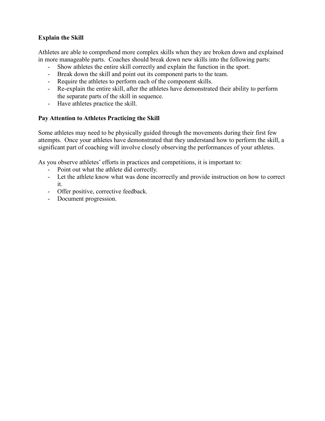# **Explain the Skill**

Athletes are able to comprehend more complex skills when they are broken down and explained in more manageable parts. Coaches should break down new skills into the following parts:

- Show athletes the entire skill correctly and explain the function in the sport.
- Break down the skill and point out its component parts to the team.
- Require the athletes to perform each of the component skills.
- Re-explain the entire skill, after the athletes have demonstrated their ability to perform the separate parts of the skill in sequence.
- Have athletes practice the skill.

#### **Pay Attention to Athletes Practicing the Skill**

Some athletes may need to be physically guided through the movements during their first few attempts. Once your athletes have demonstrated that they understand how to perform the skill, a significant part of coaching will involve closely observing the performances of your athletes.

As you observe athletes' efforts in practices and competitions, it is important to:

- Point out what the athlete did correctly.
- Let the athlete know what was done incorrectly and provide instruction on how to correct it.
- Offer positive, corrective feedback.
- Document progression.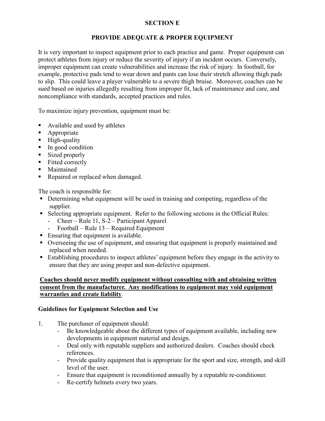# **SECTION E**

# **PROVIDE ADEQUATE & PROPER EQUIPMENT**

It is very important to inspect equipment prior to each practice and game. Proper equipment can protect athletes from injury or reduce the severity of injury if an incident occurs. Conversely, improper equipment can create vulnerabilities and increase the risk of injury. In football, for example, protective pads tend to wear down and pants can lose their stretch allowing thigh pads to slip. This could leave a player vulnerable to a severe thigh bruise. Moreover, coaches can be sued based on injuries allegedly resulting from improper fit, lack of maintenance and care, and noncompliance with standards, accepted practices and rules.

To maximize injury prevention, equipment must be:

- Available and used by athletes
- Appropriate
- $\blacksquare$  High-quality
- In good condition
- **Sized properly**
- **Fitted correctly**
- **Maintained**
- Repaired or replaced when damaged.

The coach is responsible for:

- Determining what equipment will be used in training and competing, regardless of the supplier.
- Selecting appropriate equipment. Refer to the following sections in the Official Rules:
	- Cheer Rule 11, S-2 Participant Apparel
	- Football Rule 13 Required Equipment
- Ensuring that equipment is available.
- Overseeing the use of equipment, and ensuring that equipment is properly maintained and replaced when needed.
- Establishing procedures to inspect athletes' equipment before they engage in the activity to ensure that they are using proper and non-defective equipment.

#### **Coaches should never modify equipment without consulting with and obtaining written consent from the manufacturer. Any modifications to equipment may void equipment warranties and create liability**.

#### **Guidelines for Equipment Selection and Use**

- 1. The purchaser of equipment should:
	- Be knowledgeable about the different types of equipment available, including new developments in equipment material and design.
	- Deal only with reputable suppliers and authorized dealers. Coaches should check references.
	- Provide quality equipment that is appropriate for the sport and size, strength, and skill level of the user.
	- Ensure that equipment is reconditioned annually by a reputable re-conditioner.
	- Re-certify helmets every two years.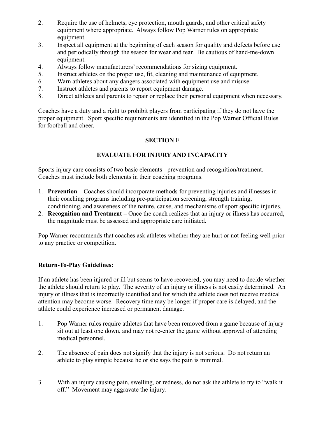- 2. Require the use of helmets, eye protection, mouth guards, and other critical safety equipment where appropriate. Always follow Pop Warner rules on appropriate equipment.
- 3. Inspect all equipment at the beginning of each season for quality and defects before use and periodically through the season for wear and tear. Be cautious of hand-me-down equipment.
- 4. Always follow manufacturers' recommendations for sizing equipment.
- 5. Instruct athletes on the proper use, fit, cleaning and maintenance of equipment.
- 6. Warn athletes about any dangers associated with equipment use and misuse.
- 7. Instruct athletes and parents to report equipment damage.
- 8. Direct athletes and parents to repair or replace their personal equipment when necessary.

Coaches have a duty and a right to prohibit players from participating if they do not have the proper equipment. Sport specific requirements are identified in the Pop Warner Official Rules for football and cheer.

# **SECTION F**

# **EVALUATE FOR INJURY AND INCAPACITY**

Sports injury care consists of two basic elements - prevention and recognition/treatment. Coaches must include both elements in their coaching programs.

- 1. **Prevention –** Coaches should incorporate methods for preventing injuries and illnesses in their coaching programs including pre-participation screening, strength training, conditioning, and awareness of the nature, cause, and mechanisms of sport specific injuries.
- 2. **Recognition and Treatment –** Once the coach realizes that an injury or illness has occurred, the magnitude must be assessed and appropriate care initiated.

Pop Warner recommends that coaches ask athletes whether they are hurt or not feeling well prior to any practice or competition.

#### **Return-To-Play Guidelines:**

If an athlete has been injured or ill but seems to have recovered, you may need to decide whether the athlete should return to play. The severity of an injury or illness is not easily determined. An injury or illness that is incorrectly identified and for which the athlete does not receive medical attention may become worse. Recovery time may be longer if proper care is delayed, and the athlete could experience increased or permanent damage.

- 1. Pop Warner rules require athletes that have been removed from a game because of injury sit out at least one down, and may not re-enter the game without approval of attending medical personnel.
- 2. The absence of pain does not signify that the injury is not serious. Do not return an athlete to play simple because he or she says the pain is minimal.
- 3. With an injury causing pain, swelling, or redness, do not ask the athlete to try to "walk it off." Movement may aggravate the injury.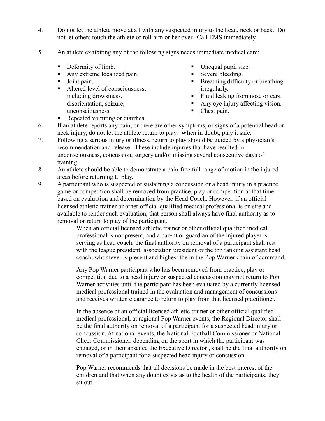- 4. Do not let the athlete move at all with any suspected injury to the head, neck or back. Do not let others touch the athlete or roll him or her over. Call EMS immediately.
- 5. An athlete exhibiting any of the following signs needs immediate medical care:
	- Deformity of limb.
	- Any extreme localized pain.
	- **Joint pain.**
	- Altered level of consciousness, including drowsiness, disorientation, seizure, unconsciousness.
- Unequal pupil size.
- Severe bleeding.
- **Breathing difficulty or breathing** irregularly.
- Fluid leaking from nose or ears.
- Any eve injury affecting vision.
- Chest pain.
- Repeated vomiting or diarrhea.
- 6. If an athlete reports any pain, or there are other symptoms, or signs of a potential head or neck injury, do not let the athlete return to play. When in doubt, play it safe.
- 7. Following a serious injury or illness, return to play should be guided by a physician's recommendation and release. These include injuries that have resulted in unconsciousness, concussion, surgery and/or missing several consecutive days of training.
- 8. An athlete should be able to demonstrate a pain-free full range of motion in the injured areas before returning to play.
- 9. A participant who is suspected of sustaining a concussion or a head injury in a practice, game or competition shall be removed from practice, play or competition at that time based on evaluation and determination by the Head Coach. However, if an official licensed athletic trainer or other official qualified medical professional is on site and available to render such evaluation, that person shall always have final authority as to removal or return to play of the participant.

When an official licensed athletic trainer or other official qualified medical professional is not present, and a parent or guardian of the injured player is serving as head coach, the final authority on removal of a participant shall rest with the league president, association president or the top ranking assistant head coach; whomever is present and highest the in the Pop Warner chain of command.

Any Pop Warner participant who has been removed from practice, play or competition due to a head injury or suspected concussion may not return to Pop Warner activities until the participant has been evaluated by a currently licensed medical professional trained in the evaluation and management of concussions and receives written clearance to return to play from that licensed practitioner.

In the absence of an official licensed athletic trainer or other official qualified medical professional, at regional Pop Warner events, the Regional Director shall be the final authority on removal of a participant for a suspected head injury or concussion. At national events, the National Football Commissioner or National Cheer Commissioner, depending on the sport in which the participant was engaged, or in their absence the Executive Director , shall be the final authority on removal of a participant for a suspected head injury or concussion.

Pop Warner recommends that all decisions be made in the best interest of the children and that when any doubt exists as to the health of the participants, they sit out.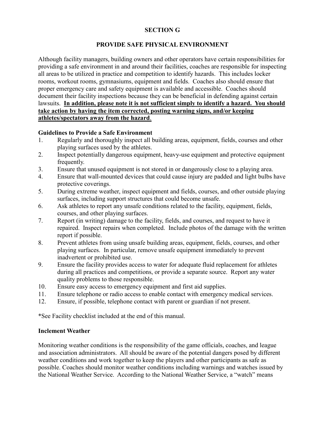# **SECTION G**

#### **PROVIDE SAFE PHYSICAL ENVIRONMENT**

Although facility managers, building owners and other operators have certain responsibilities for providing a safe environment in and around their facilities, coaches are responsible for inspecting all areas to be utilized in practice and competition to identify hazards. This includes locker rooms, workout rooms, gymnasiums, equipment and fields. Coaches also should ensure that proper emergency care and safety equipment is available and accessible. Coaches should document their facility inspections because they can be beneficial in defending against certain lawsuits. **In addition, please note it is not sufficient simply to identify a hazard. You should take action by having the item corrected, posting warning signs, and/or keeping athletes/spectators away from the hazard**.

#### **Guidelines to Provide a Safe Environment**

- 1. Regularly and thoroughly inspect all building areas, equipment, fields, courses and other playing surfaces used by the athletes.
- 2. Inspect potentially dangerous equipment, heavy-use equipment and protective equipment frequently.
- 3. Ensure that unused equipment is not stored in or dangerously close to a playing area.
- 4. Ensure that wall-mounted devices that could cause injury are padded and light bulbs have protective coverings.
- 5. During extreme weather, inspect equipment and fields, courses, and other outside playing surfaces, including support structures that could become unsafe.
- 6. Ask athletes to report any unsafe conditions related to the facility, equipment, fields, courses, and other playing surfaces.
- 7. Report (in writing) damage to the facility, fields, and courses, and request to have it repaired. Inspect repairs when completed. Include photos of the damage with the written report if possible.
- 8. Prevent athletes from using unsafe building areas, equipment, fields, courses, and other playing surfaces. In particular, remove unsafe equipment immediately to prevent inadvertent or prohibited use.
- 9. Ensure the facility provides access to water for adequate fluid replacement for athletes during all practices and competitions, or provide a separate source. Report any water quality problems to those responsible.
- 10. Ensure easy access to emergency equipment and first aid supplies.
- 11. Ensure telephone or radio access to enable contact with emergency medical services.
- 12. Ensure, if possible, telephone contact with parent or guardian if not present.

\*See Facility checklist included at the end of this manual.

#### **Inclement Weather**

Monitoring weather conditions is the responsibility of the game officials, coaches, and league and association administrators. All should be aware of the potential dangers posed by different weather conditions and work together to keep the players and other participants as safe as possible. Coaches should monitor weather conditions including warnings and watches issued by the National Weather Service. According to the National Weather Service, a "watch" means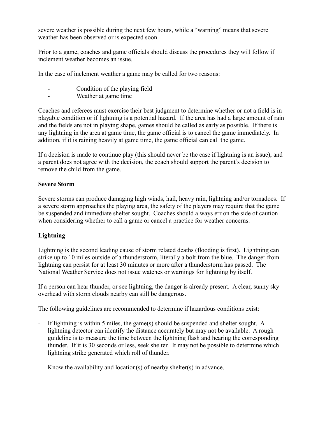severe weather is possible during the next few hours, while a "warning" means that severe weather has been observed or is expected soon.

Prior to a game, coaches and game officials should discuss the procedures they will follow if inclement weather becomes an issue.

In the case of inclement weather a game may be called for two reasons:

- Condition of the playing field
- Weather at game time

Coaches and referees must exercise their best judgment to determine whether or not a field is in playable condition or if lightning is a potential hazard. If the area has had a large amount of rain and the fields are not in playing shape, games should be called as early as possible. If there is any lightning in the area at game time, the game official is to cancel the game immediately. In addition, if it is raining heavily at game time, the game official can call the game.

If a decision is made to continue play (this should never be the case if lightning is an issue), and a parent does not agree with the decision, the coach should support the parent's decision to remove the child from the game.

#### **Severe Storm**

Severe storms can produce damaging high winds, hail, heavy rain, lightning and/or tornadoes. If a severe storm approaches the playing area, the safety of the players may require that the game be suspended and immediate shelter sought. Coaches should always err on the side of caution when considering whether to call a game or cancel a practice for weather concerns.

#### **Lightning**

Lightning is the second leading cause of storm related deaths (flooding is first). Lightning can strike up to 10 miles outside of a thunderstorm, literally a bolt from the blue. The danger from lightning can persist for at least 30 minutes or more after a thunderstorm has passed. The National Weather Service does not issue watches or warnings for lightning by itself.

If a person can hear thunder, or see lightning, the danger is already present. A clear, sunny sky overhead with storm clouds nearby can still be dangerous.

The following guidelines are recommended to determine if hazardous conditions exist:

- If lightning is within 5 miles, the game(s) should be suspended and shelter sought. A lightning detector can identify the distance accurately but may not be available. A rough guideline is to measure the time between the lightning flash and hearing the corresponding thunder. If it is 30 seconds or less, seek shelter. It may not be possible to determine which lightning strike generated which roll of thunder.
- Know the availability and location(s) of nearby shelter(s) in advance.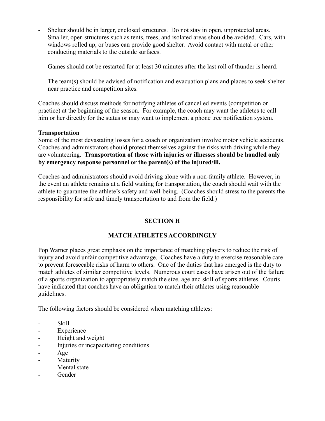- Shelter should be in larger, enclosed structures. Do not stay in open, unprotected areas. Smaller, open structures such as tents, trees, and isolated areas should be avoided. Cars, with windows rolled up, or buses can provide good shelter. Avoid contact with metal or other conducting materials to the outside surfaces.
- Games should not be restarted for at least 30 minutes after the last roll of thunder is heard.
- The team(s) should be advised of notification and evacuation plans and places to seek shelter near practice and competition sites.

Coaches should discuss methods for notifying athletes of cancelled events (competition or practice) at the beginning of the season. For example, the coach may want the athletes to call him or her directly for the status or may want to implement a phone tree notification system.

#### **Transportation**

Some of the most devastating losses for a coach or organization involve motor vehicle accidents. Coaches and administrators should protect themselves against the risks with driving while they are volunteering. **Transportation of those with injuries or illnesses should be handled only by emergency response personnel or the parent(s) of the injured/ill.**

Coaches and administrators should avoid driving alone with a non-family athlete. However, in the event an athlete remains at a field waiting for transportation, the coach should wait with the athlete to guarantee the athlete's safety and well-being. (Coaches should stress to the parents the responsibility for safe and timely transportation to and from the field.)

# **SECTION H**

# **MATCH ATHLETES ACCORDINGLY**

Pop Warner places great emphasis on the importance of matching players to reduce the risk of injury and avoid unfair competitive advantage. Coaches have a duty to exercise reasonable care to prevent foreseeable risks of harm to others. One of the duties that has emerged is the duty to match athletes of similar competitive levels. Numerous court cases have arisen out of the failure of a sports organization to appropriately match the size, age and skill of sports athletes. Courts have indicated that coaches have an obligation to match their athletes using reasonable guidelines.

The following factors should be considered when matching athletes:

- Skill
- Experience
- Height and weight
- Injuries or incapacitating conditions
- Age
- Maturity
- Mental state
- **Gender**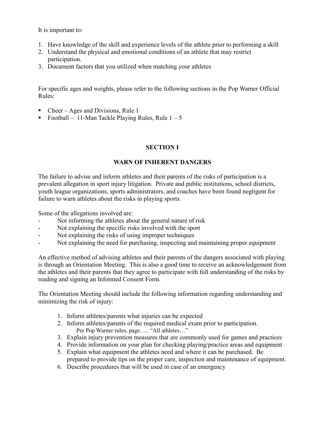It is important to:

- 1. Have knowledge of the skill and experience levels of the athlete prior to performing a skill
- 2. Understand the physical and emotional conditions of an athlete that may restrict participation.
- 3. Document factors that you utilized when matching your athletes

For specific ages and weights, please refer to the following sections in the Pop Warner Official Rules:

- Cheer Ages and Divisions, Rule 1
- Football 11-Man Tackle Playing Rules, Rule  $1 5$

# **SECTION I**

# **WARN OF INHERENT DANGERS**

The failure to advise and inform athletes and their parents of the risks of participation is a prevalent allegation in sport injury litigation. Private and public institutions, school districts, youth league organizations, sports administrators, and coaches have been found negligent for failure to warn athletes about the risks in playing sports.

Some of the allegations involved are:

- Not informing the athletes about the general nature of risk
- Not explaining the specific risks involved with the sport
- Not explaining the risks of using improper techniques
- Not explaining the need for purchasing, inspecting and maintaining proper equipment

An effective method of advising athletes and their parents of the dangers associated with playing is through an Orientation Meeting. This is also a good time to receive an acknowledgement from the athletes and their parents that they agree to participate with full understanding of the risks by reading and signing an Informed Consent Form.

The Orientation Meeting should include the following information regarding understanding and minimizing the risk of injury:

- 1. Inform athletes/parents what injuries can be expected
- 2. Inform athletes/parents of the required medical exam prior to participation. Per Pop Warner rules, page….. "All athletes…"
- 3. Explain injury prevention measures that are commonly used for games and practices
- 4. Provide information on your plan for checking playing/practice areas and equipment
- 5. Explain what equipment the athletes need and where it can be purchased. Be prepared to provide tips on the proper care, inspection and maintenance of equipment.
- 6. Describe procedures that will be used in case of an emergency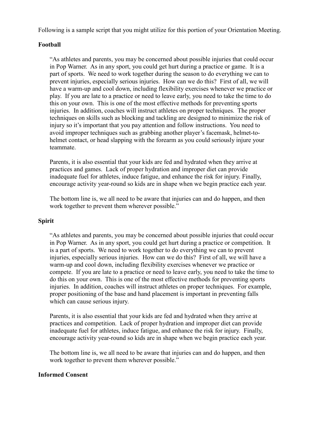Following is a sample script that you might utilize for this portion of your Orientation Meeting.

#### **Football**

"As athletes and parents, you may be concerned about possible injuries that could occur in Pop Warner. As in any sport, you could get hurt during a practice or game. It is a part of sports. We need to work together during the season to do everything we can to prevent injuries, especially serious injuries. How can we do this? First of all, we will have a warm-up and cool down, including flexibility exercises whenever we practice or play. If you are late to a practice or need to leave early, you need to take the time to do this on your own. This is one of the most effective methods for preventing sports injuries. In addition, coaches will instruct athletes on proper techniques. The proper techniques on skills such as blocking and tackling are designed to minimize the risk of injury so it's important that you pay attention and follow instructions. You need to avoid improper techniques such as grabbing another player's facemask, helmet-tohelmet contact, or head slapping with the forearm as you could seriously injure your teammate.

Parents, it is also essential that your kids are fed and hydrated when they arrive at practices and games. Lack of proper hydration and improper diet can provide inadequate fuel for athletes, induce fatigue, and enhance the risk for injury. Finally, encourage activity year-round so kids are in shape when we begin practice each year.

The bottom line is, we all need to be aware that injuries can and do happen, and then work together to prevent them wherever possible."

#### **Spirit**

"As athletes and parents, you may be concerned about possible injuries that could occur in Pop Warner. As in any sport, you could get hurt during a practice or competition. It is a part of sports. We need to work together to do everything we can to prevent injuries, especially serious injuries. How can we do this? First of all, we will have a warm-up and cool down, including flexibility exercises whenever we practice or compete. If you are late to a practice or need to leave early, you need to take the time to do this on your own. This is one of the most effective methods for preventing sports injuries. In addition, coaches will instruct athletes on proper techniques. For example, proper positioning of the base and hand placement is important in preventing falls which can cause serious injury.

Parents, it is also essential that your kids are fed and hydrated when they arrive at practices and competition. Lack of proper hydration and improper diet can provide inadequate fuel for athletes, induce fatigue, and enhance the risk for injury. Finally, encourage activity year-round so kids are in shape when we begin practice each year.

The bottom line is, we all need to be aware that injuries can and do happen, and then work together to prevent them wherever possible."

#### **Informed Consent**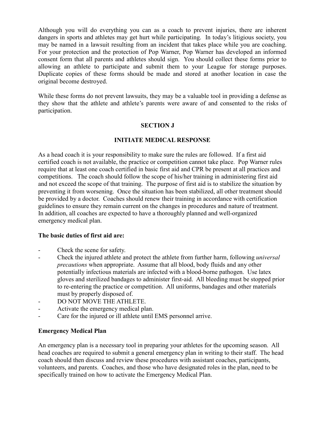Although you will do everything you can as a coach to prevent injuries, there are inherent dangers in sports and athletes may get hurt while participating. In today's litigious society, you may be named in a lawsuit resulting from an incident that takes place while you are coaching. For your protection and the protection of Pop Warner, Pop Warner has developed an informed consent form that all parents and athletes should sign. You should collect these forms prior to allowing an athlete to participate and submit them to your League for storage purposes. Duplicate copies of these forms should be made and stored at another location in case the original become destroyed.

While these forms do not prevent lawsuits, they may be a valuable tool in providing a defense as they show that the athlete and athlete's parents were aware of and consented to the risks of participation.

#### **SECTION J**

#### **INITIATE MEDICAL RESPONSE**

As a head coach it is your responsibility to make sure the rules are followed. If a first aid certified coach is not available, the practice or competition cannot take place. Pop Warner rules require that at least one coach certified in basic first aid and CPR be present at all practices and competitions. The coach should follow the scope of his/her training in administering first aid and not exceed the scope of that training. The purpose of first aid is to stabilize the situation by preventing it from worsening. Once the situation has been stabilized, all other treatment should be provided by a doctor. Coaches should renew their training in accordance with certification guidelines to ensure they remain current on the changes in procedures and nature of treatment. In addition, all coaches are expected to have a thoroughly planned and well-organized emergency medical plan.

#### **The basic duties of first aid are:**

- Check the scene for safety.
- Check the injured athlete and protect the athlete from further harm, following *universal precautions* when appropriate. Assume that all blood, body fluids and any other potentially infectious materials are infected with a blood-borne pathogen. Use latex gloves and sterilized bandages to administer first-aid. All bleeding must be stopped prior to re-entering the practice or competition. All uniforms, bandages and other materials must by properly disposed of.
- DO NOT MOVE THE ATHLETE.
- Activate the emergency medical plan.
- Care for the injured or ill athlete until EMS personnel arrive.

#### **Emergency Medical Plan**

An emergency plan is a necessary tool in preparing your athletes for the upcoming season. All head coaches are required to submit a general emergency plan in writing to their staff. The head coach should then discuss and review these procedures with assistant coaches, participants, volunteers, and parents. Coaches, and those who have designated roles in the plan, need to be specifically trained on how to activate the Emergency Medical Plan.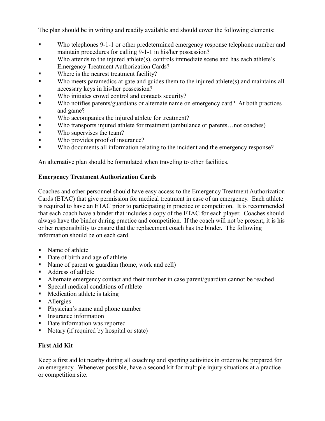The plan should be in writing and readily available and should cover the following elements:

- Who telephones 9-1-1 or other predetermined emergency response telephone number and maintain procedures for calling 9-1-1 in his/her possession?
- Who attends to the injured athlete(s), controls immediate scene and has each athlete's Emergency Treatment Authorization Cards?
- Where is the nearest treatment facility?
- Who meets paramedics at gate and guides them to the injured athlete(s) and maintains all necessary keys in his/her possession?
- Who initiates crowd control and contacts security?
- Who notifies parents/guardians or alternate name on emergency card? At both practices and game?
- Who accompanies the injured athlete for treatment?
- Who transports injured athlete for treatment (ambulance or parents…not coaches)
- Who supervises the team?
- Who provides proof of insurance?
- Who documents all information relating to the incident and the emergency response?

An alternative plan should be formulated when traveling to other facilities.

#### **Emergency Treatment Authorization Cards**

Coaches and other personnel should have easy access to the Emergency Treatment Authorization Cards (ETAC) that give permission for medical treatment in case of an emergency. Each athlete is required to have an ETAC prior to participating in practice or competition. It is recommended that each coach have a binder that includes a copy of the ETAC for each player. Coaches should always have the binder during practice and competition. If the coach will not be present, it is his or her responsibility to ensure that the replacement coach has the binder. The following information should be on each card.

- Name of athlete
- Date of birth and age of athlete
- Name of parent or guardian (home, work and cell)
- Address of athlete
- Alternate emergency contact and their number in case parent/guardian cannot be reached
- **Special medical conditions of athlete**
- Medication athlete is taking
- Allergies
- Physician's name and phone number
- Insurance information
- **•** Date information was reported
- Notary (if required by hospital or state)

# **First Aid Kit**

Keep a first aid kit nearby during all coaching and sporting activities in order to be prepared for an emergency. Whenever possible, have a second kit for multiple injury situations at a practice or competition site.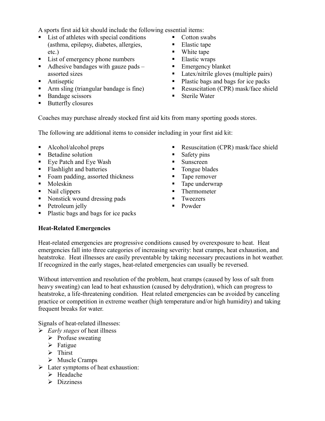A sports first aid kit should include the following essential items:

- List of athletes with special conditions (asthma, epilepsy, diabetes, allergies, etc.)
- List of emergency phone numbers
- Adhesive bandages with gauze pads  $$ assorted sizes
- **Antiseptic**
- Arm sling (triangular bandage is fine)
- Bandage scissors
- Butterfly closures
- Cotton swabs
- Elastic tape
- White tape
- **Elastic wraps**
- **Emergency blanket**
- Latex/nitrile gloves (multiple pairs)
- Plastic bags and bags for ice packs
- Resuscitation (CPR) mask/face shield
- Sterile Water

Coaches may purchase already stocked first aid kits from many sporting goods stores.

The following are additional items to consider including in your first aid kit:

- Alcohol/alcohol preps
- **Betadine solution**
- Eye Patch and Eye Wash
- **Flashlight and batteries**
- Foam padding, assorted thickness
- Moleskin
- Nail clippers
- Nonstick wound dressing pads
- Petroleum jelly
- Plastic bags and bags for ice packs
- Resuscitation (CPR) mask/face shield
- $\blacksquare$  Safety pins
- **Sunscreen**
- **Tongue blades**
- **Tape remover**
- **Tape underwrap**
- Thermometer
- **Tweezers**
- **Powder**

# **Heat-Related Emergencies**

Heat-related emergencies are progressive conditions caused by overexposure to heat. Heat emergencies fall into three categories of increasing severity: heat cramps, heat exhaustion, and heatstroke. Heat illnesses are easily preventable by taking necessary precautions in hot weather. If recognized in the early stages, heat-related emergencies can usually be reversed.

Without intervention and resolution of the problem, heat cramps (caused by loss of salt from heavy sweating) can lead to heat exhaustion (caused by dehydration), which can progress to heatstroke, a life-threatening condition. Heat related emergencies can be avoided by canceling practice or competition in extreme weather (high temperature and/or high humidity) and taking frequent breaks for water.

Signals of heat-related illnesses:

- *Early stages* of heat illness
	- $\triangleright$  Profuse sweating
	- $\triangleright$  Fatigue
	- $\triangleright$  Thirst
	- Muscle Cramps
- $\triangleright$  Later symptoms of heat exhaustion:
	- > Headache
	- $\triangleright$  Dizziness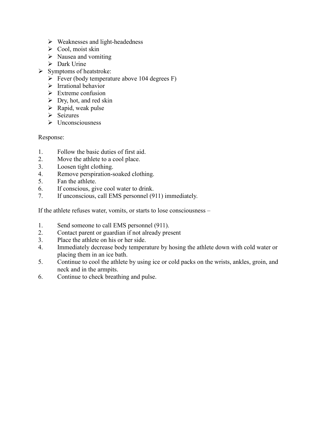- $\triangleright$  Weaknesses and light-headedness
- $\triangleright$  Cool, moist skin
- $\triangleright$  Nausea and vomiting
- > Dark Urine
- $\triangleright$  Symptoms of heatstroke:
	- $\triangleright$  Fever (body temperature above 104 degrees F)
	- $\triangleright$  Irrational behavior
	- $\triangleright$  Extreme confusion
	- $\triangleright$  Dry, hot, and red skin
	- $\triangleright$  Rapid, weak pulse
	- $\triangleright$  Seizures
	- $\triangleright$  Unconsciousness

Response:

- 1. Follow the basic duties of first aid.
- 2. Move the athlete to a cool place.
- 3. Loosen tight clothing.
- 4. Remove perspiration-soaked clothing.
- 5. Fan the athlete.
- 6. If conscious, give cool water to drink.
- 7. If unconscious, call EMS personnel (911) immediately.

If the athlete refuses water, vomits, or starts to lose consciousness –

- 1. Send someone to call EMS personnel (911).
- 2. Contact parent or guardian if not already present
- 3. Place the athlete on his or her side.
- 4. Immediately decrease body temperature by hosing the athlete down with cold water or placing them in an ice bath.
- 5. Continue to cool the athlete by using ice or cold packs on the wrists, ankles, groin, and neck and in the armpits.
- 6. Continue to check breathing and pulse.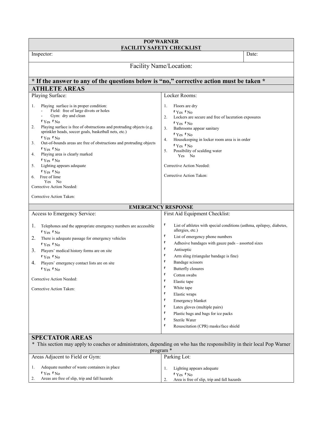| <b>POP WARNER</b><br><b>FACILITY SAFETY CHECKLIST</b>                                                                                                                                                                                                                                                                                                                                                                                                                                                                                               |                                                                                                                                                                                                                                                                                                                                                                                                                                                                                                                                                                                                   |       |  |
|-----------------------------------------------------------------------------------------------------------------------------------------------------------------------------------------------------------------------------------------------------------------------------------------------------------------------------------------------------------------------------------------------------------------------------------------------------------------------------------------------------------------------------------------------------|---------------------------------------------------------------------------------------------------------------------------------------------------------------------------------------------------------------------------------------------------------------------------------------------------------------------------------------------------------------------------------------------------------------------------------------------------------------------------------------------------------------------------------------------------------------------------------------------------|-------|--|
| Inspector:                                                                                                                                                                                                                                                                                                                                                                                                                                                                                                                                          |                                                                                                                                                                                                                                                                                                                                                                                                                                                                                                                                                                                                   | Date: |  |
| Facility Name/Location:                                                                                                                                                                                                                                                                                                                                                                                                                                                                                                                             |                                                                                                                                                                                                                                                                                                                                                                                                                                                                                                                                                                                                   |       |  |
| * If the answer to any of the questions below is "no," corrective action must be taken *                                                                                                                                                                                                                                                                                                                                                                                                                                                            |                                                                                                                                                                                                                                                                                                                                                                                                                                                                                                                                                                                                   |       |  |
| <b>ATHLETE AREAS</b>                                                                                                                                                                                                                                                                                                                                                                                                                                                                                                                                |                                                                                                                                                                                                                                                                                                                                                                                                                                                                                                                                                                                                   |       |  |
| Playing Surface:                                                                                                                                                                                                                                                                                                                                                                                                                                                                                                                                    | Locker Rooms:                                                                                                                                                                                                                                                                                                                                                                                                                                                                                                                                                                                     |       |  |
| Playing surface is in proper condition:<br>1.<br>Field: free of large divots or holes<br>Gym: dry and clean<br>PYes PNo<br>Playing surface is free of obstructions and protruding objects (e.g.<br>2.<br>sprinkler heads, soccer goals, basketball nets, etc.)<br>PYes PNo<br>Out-of-bounds areas are free of obstructions and protruding objects<br>3.<br>PYes PNo<br>Playing area is clearly marked<br>4.<br>PYes PNo<br>Lighting appears adequate<br>5.<br>$PY_{\text{es}} P_{\text{No}}$<br>Free of lime<br>Yes No<br>Corrective Action Needed: | 1.<br>Floors are dry<br>PYes PNo<br>Lockers are secure and free of laceration exposures<br>2.<br>PYes PNo<br>Bathrooms appear sanitary<br>3.<br>PYes PNo<br>Housekeeping in locker room area is in order<br>4.<br>$PY_{\text{es}} P_{\text{No}}$<br>Possibility of scalding water<br>5.<br>Yes No<br>Corrective Action Needed:<br>Corrective Action Taken:                                                                                                                                                                                                                                        |       |  |
| Corrective Action Taken:                                                                                                                                                                                                                                                                                                                                                                                                                                                                                                                            |                                                                                                                                                                                                                                                                                                                                                                                                                                                                                                                                                                                                   |       |  |
|                                                                                                                                                                                                                                                                                                                                                                                                                                                                                                                                                     | <b>EMERGENCY RESPONSE</b>                                                                                                                                                                                                                                                                                                                                                                                                                                                                                                                                                                         |       |  |
| Access to Emergency Service:                                                                                                                                                                                                                                                                                                                                                                                                                                                                                                                        | First Aid Equipment Checklist:                                                                                                                                                                                                                                                                                                                                                                                                                                                                                                                                                                    |       |  |
| 1.<br>Telephones and the appropriate emergency numbers are accessible<br>PYes PNo<br>2.<br>There is adequate passage for emergency vehicles<br>PYes PNo<br>3.<br>Players' medical history forms are on site<br>PYes PNo<br>Players' emergency contact lists are on site<br>4.<br>PYes PNo<br>Corrective Action Needed:<br>Corrective Action Taken:                                                                                                                                                                                                  | p<br>List of athletes with special conditions (asthma, epilepsy, diabetes,<br>allergies, etc.)<br>P<br>List of emergency phone numbers<br>p<br>Adhesive bandages with gauze pads - assorted sizes<br>p<br>Antiseptic<br>p<br>Arm sling (triangular bandage is fine)<br>P<br>Bandage scissors<br>p<br><b>Butterfly closures</b><br>P<br>Cotton swabs<br>p<br>Elastic tape<br>p<br>White tape<br>p<br>Elastic wraps<br>p<br>Emergency blanket<br>p<br>Latex gloves (multiple pairs)<br>p<br>Plastic bags and bags for ice packs<br>p<br>Sterile Water<br>p<br>Resuscitation (CPR) masks/face shield |       |  |
| <b>SPECTATOR AREAS</b>                                                                                                                                                                                                                                                                                                                                                                                                                                                                                                                              |                                                                                                                                                                                                                                                                                                                                                                                                                                                                                                                                                                                                   |       |  |

\* This section may apply to coaches or administrators, depending on who has the responsibility in their local Pop Warner

| program <sup>*</sup>                                                                                                            |                                                                                                            |  |
|---------------------------------------------------------------------------------------------------------------------------------|------------------------------------------------------------------------------------------------------------|--|
| Areas Adjacent to Field or Gym:                                                                                                 | Parking Lot:                                                                                               |  |
| Adequate number of waste containers in place<br>$PY_{\text{es}} P_{\text{No}}$<br>Areas are free of slip, trip and fall hazards | Lighting appears adequate<br>$PY_{\text{es}} P_{\text{No}}$<br>Area is free of slip, trip and fall hazards |  |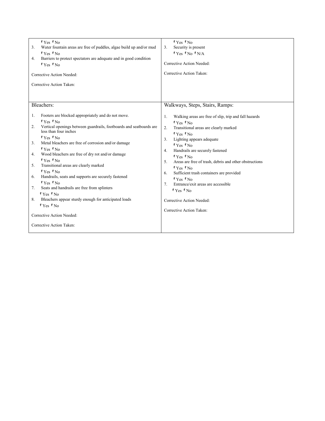| Water fountain areas are free of puddles, algae build up and/or mud<br>3.<br>PYes PNo<br>Barriers to protect spectators are adequate and in good condition<br>4.<br>PYes PNo<br>Corrective Action Needed:<br>Corrective Action Taken:                                                                                                                                                                                                                                                                                                                                                                                                                                                                                     | $P$ Yes $P$ No $P$ N/A<br>Corrective Action Needed:<br>Corrective Action Taken:                                                                                                                                                                                                                                                                                                                                                                                                                                                               |
|---------------------------------------------------------------------------------------------------------------------------------------------------------------------------------------------------------------------------------------------------------------------------------------------------------------------------------------------------------------------------------------------------------------------------------------------------------------------------------------------------------------------------------------------------------------------------------------------------------------------------------------------------------------------------------------------------------------------------|-----------------------------------------------------------------------------------------------------------------------------------------------------------------------------------------------------------------------------------------------------------------------------------------------------------------------------------------------------------------------------------------------------------------------------------------------------------------------------------------------------------------------------------------------|
| Bleachers:                                                                                                                                                                                                                                                                                                                                                                                                                                                                                                                                                                                                                                                                                                                | Walkways, Steps, Stairs, Ramps:                                                                                                                                                                                                                                                                                                                                                                                                                                                                                                               |
| Footers are blocked appropriately and do not move.<br>1.<br>PYes PNo<br>Vertical openings between guardrails, footboards and seatboards are<br>2.<br>less than four inches<br>PYes PNo<br>Metal bleachers are free of corrosion and/or damage<br>3.<br>PYes PNo<br>Wood bleachers are free of dry rot and/or damage<br>4.<br>PYes PNo<br>Transitional areas are clearly marked<br>5.<br>PYes PNo<br>Handrails, seats and supports are securely fastened<br>6.<br>$PY_{\text{es}} P_{\text{No}}$<br>Seats and handrails are free from splinters<br>7.<br>$PY_{\text{es}} P_{\text{No}}$<br>Bleachers appear sturdy enough for anticipated loads<br>8.<br>PYes PNo<br>Corrective Action Needed:<br>Corrective Action Taken: | 1.<br>Walking areas are free of slip, trip and fall hazards<br>PYes PNo<br>2.<br>Transitional areas are clearly marked<br>$PY_{\text{es}} P_{\text{No}}$<br>3.<br>Lighting appears adequate<br>PYes PNo<br>4.<br>Handrails are securely fastened<br>PYes PNo<br>5.<br>Areas are free of trash, debris and other obstructions<br>PYes PNo<br>Sufficient trash containers are provided<br>6.<br>PYes PNo<br>Entrance/exit areas are accessible<br>7.<br>$PY_{\text{es}} P_{\text{No}}$<br>Corrective Action Needed:<br>Corrective Action Taken: |